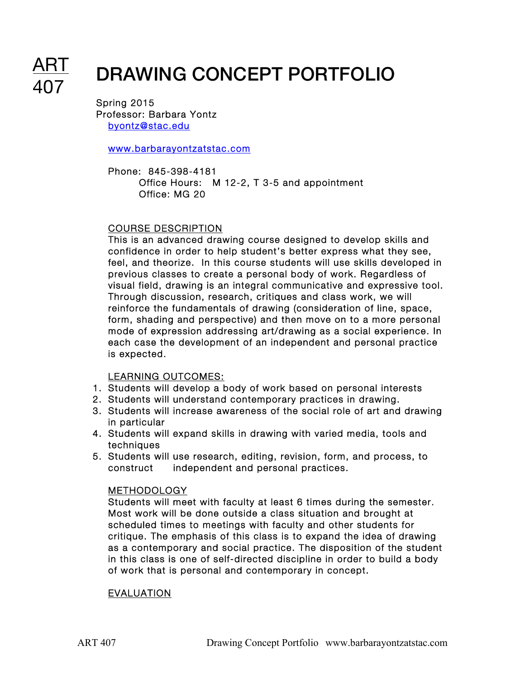# DRAWING CONCEPT PORTFOLIO

Spring 2015 Professor: Barbara Yontz byontz@stac.edu

www.barbarayontzatstac.com

Phone: 845-398-4181 Office Hours: M 12-2, T 3-5 and appointment Office: MG 20

# COURSE DESCRIPTION

This is an advanced drawing course designed to develop skills and confidence in order to help student's better express what they see, feel, and theorize. In this course students will use skills developed in previous classes to create a personal body of work. Regardless of visual field, drawing is an integral communicative and expressive tool. Through discussion, research, critiques and class work, we will reinforce the fundamentals of drawing (consideration of line, space, form, shading and perspective) and then move on to a more personal mode of expression addressing art/drawing as a social experience. In each case the development of an independent and personal practice is expected.

# LEARNING OUTCOMES:

- 1. Students will develop a body of work based on personal interests
- 2. Students will understand contemporary practices in drawing.
- 3. Students will increase awareness of the social role of art and drawing in particular
- 4. Students will expand skills in drawing with varied media, tools and techniques
- 5. Students will use research, editing, revision, form, and process, to construct independent and personal practices.

# METHODOLOGY

Students will meet with faculty at least 6 times during the semester. Most work will be done outside a class situation and brought at scheduled times to meetings with faculty and other students for critique. The emphasis of this class is to expand the idea of drawing as a contemporary and social practice. The disposition of the student in this class is one of self-directed discipline in order to build a body of work that is personal and contemporary in concept.

# EVALUATION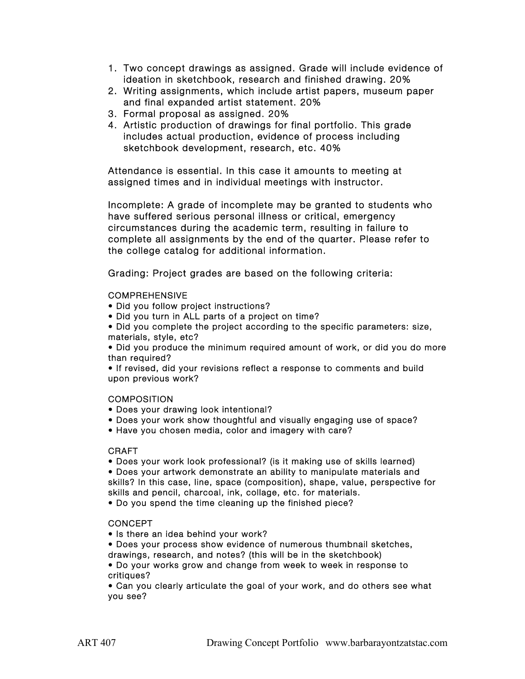- 1. Two concept drawings as assigned. Grade will include evidence of ideation in sketchbook, research and finished drawing. 20%
- 2. Writing assignments, which include artist papers, museum paper and final expanded artist statement. 20%
- 3. Formal proposal as assigned. 20%
- 4. Artistic production of drawings for final portfolio. This grade includes actual production, evidence of process including sketchbook development, research, etc. 40%

Attendance is essential. In this case it amounts to meeting at assigned times and in individual meetings with instructor.

Incomplete: A grade of incomplete may be granted to students who have suffered serious personal illness or critical, emergency circumstances during the academic term, resulting in failure to complete all assignments by the end of the quarter. Please refer to the college catalog for additional information.

Grading: Project grades are based on the following criteria:

## **COMPREHENSIVE**

- Did you follow project instructions?
- Did you turn in ALL parts of a project on time?
- Did you complete the project according to the specific parameters: size, materials, style, etc?

• Did you produce the minimum required amount of work, or did you do more than required?

• If revised, did your revisions reflect a response to comments and build upon previous work?

## **COMPOSITION**

- Does your drawing look intentional?
- Does your work show thoughtful and visually engaging use of space?
- Have you chosen media, color and imagery with care?

## CRAFT

• Does your work look professional? (is it making use of skills learned)

• Does your artwork demonstrate an ability to manipulate materials and skills? In this case, line, space (composition), shape, value, perspective for skills and pencil, charcoal, ink, collage, etc. for materials.

• Do you spend the time cleaning up the finished piece?

## **CONCEPT**

- Is there an idea behind your work?
- Does your process show evidence of numerous thumbnail sketches,
- drawings, research, and notes? (this will be in the sketchbook)

• Do your works grow and change from week to week in response to critiques?

• Can you clearly articulate the goal of your work, and do others see what you see?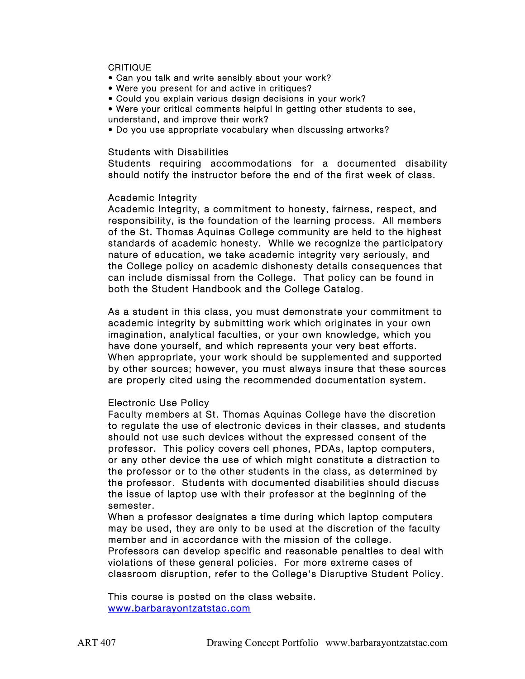#### **CRITIQUE**

- Can you talk and write sensibly about your work?
- Were you present for and active in critiques?
- Could you explain various design decisions in your work?
- Were your critical comments helpful in getting other students to see, understand, and improve their work?
- Do you use appropriate vocabulary when discussing artworks?

#### Students with Disabilities

Students requiring accommodations for a documented disability should notify the instructor before the end of the first week of class.

#### Academic Integrity

Academic Integrity, a commitment to honesty, fairness, respect, and responsibility, is the foundation of the learning process. All members of the St. Thomas Aquinas College community are held to the highest standards of academic honesty. While we recognize the participatory nature of education, we take academic integrity very seriously, and the College policy on academic dishonesty details consequences that can include dismissal from the College. That policy can be found in both the Student Handbook and the College Catalog.

As a student in this class, you must demonstrate your commitment to academic integrity by submitting work which originates in your own imagination, analytical faculties, or your own knowledge, which you have done yourself, and which represents your very best efforts. When appropriate, your work should be supplemented and supported by other sources; however, you must always insure that these sources are properly cited using the recommended documentation system.

## Electronic Use Policy

Faculty members at St. Thomas Aquinas College have the discretion to regulate the use of electronic devices in their classes, and students should not use such devices without the expressed consent of the professor. This policy covers cell phones, PDAs, laptop computers, or any other device the use of which might constitute a distraction to the professor or to the other students in the class, as determined by the professor. Students with documented disabilities should discuss the issue of laptop use with their professor at the beginning of the semester.

When a professor designates a time during which laptop computers may be used, they are only to be used at the discretion of the faculty member and in accordance with the mission of the college. Professors can develop specific and reasonable penalties to deal with violations of these general policies. For more extreme cases of classroom disruption, refer to the College's Disruptive Student Policy.

This course is posted on the class website. www.barbarayontzatstac.com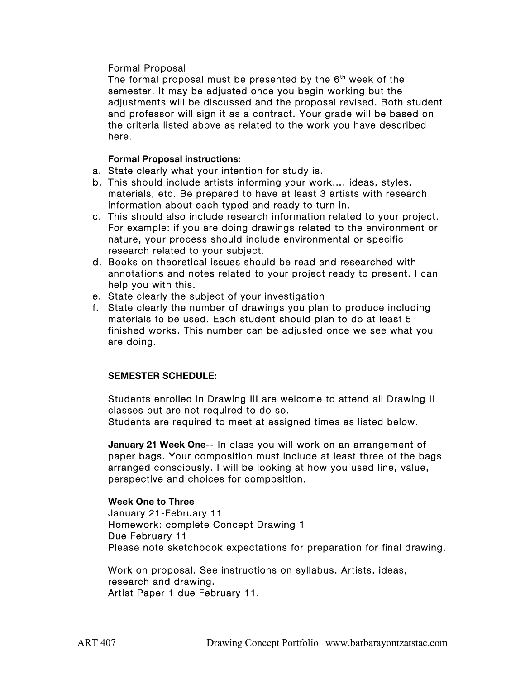# Formal Proposal

The formal proposal must be presented by the  $6<sup>th</sup>$  week of the semester. It may be adjusted once you begin working but the adjustments will be discussed and the proposal revised. Both student and professor will sign it as a contract. Your grade will be based on the criteria listed above as related to the work you have described here.

**Formal Proposal instructions:**

- a. State clearly what your intention for study is.
- b. This should include artists informing your work…. ideas, styles, materials, etc. Be prepared to have at least 3 artists with research information about each typed and ready to turn in.
- c. This should also include research information related to your project. For example: if you are doing drawings related to the environment or nature, your process should include environmental or specific research related to your subject.
- d. Books on theoretical issues should be read and researched with annotations and notes related to your project ready to present. I can help you with this.
- e. State clearly the subject of your investigation
- f. State clearly the number of drawings you plan to produce including materials to be used. Each student should plan to do at least 5 finished works. This number can be adjusted once we see what you are doing.

# **SEMESTER SCHEDULE:**

Students enrolled in Drawing III are welcome to attend all Drawing II classes but are not required to do so.

Students are required to meet at assigned times as listed below.

**January 21 Week One**-- In class you will work on an arrangement of paper bags. Your composition must include at least three of the bags arranged consciously. I will be looking at how you used line, value, perspective and choices for composition.

**Week One to Three** January 21-February 11 Homework: complete Concept Drawing 1 Due February 11 Please note sketchbook expectations for preparation for final drawing.

Work on proposal. See instructions on syllabus. Artists, ideas, research and drawing. Artist Paper 1 due February 11.